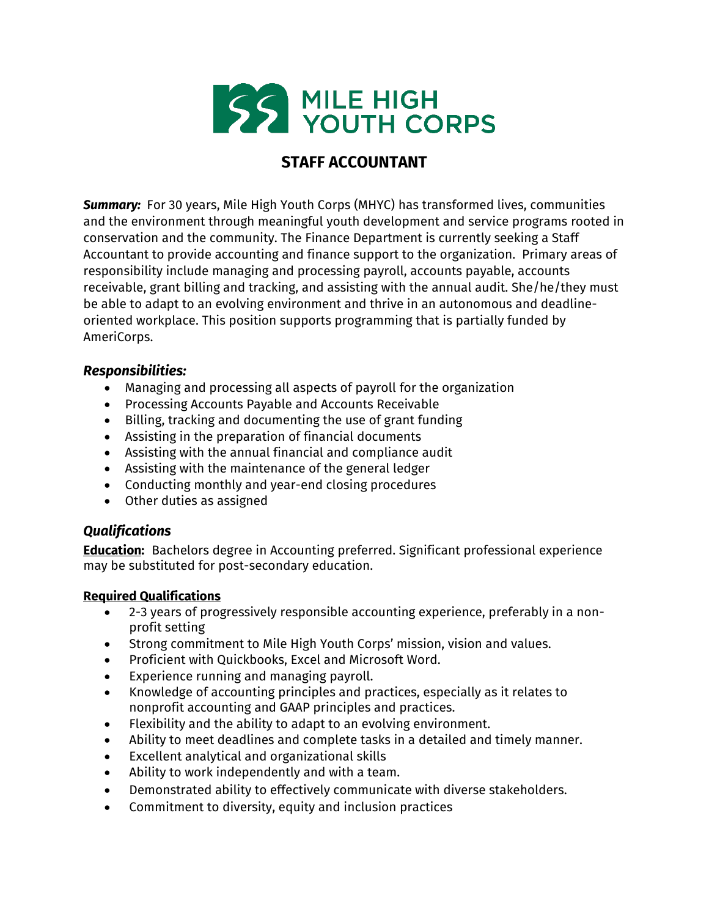

# **STAFF ACCOUNTANT**

**Summary:** For 30 years, Mile High Youth Corps (MHYC) has transformed lives, communities and the environment through meaningful youth development and service programs rooted in conservation and the community. The Finance Department is currently seeking a Staff Accountant to provide accounting and finance support to the organization. Primary areas of responsibility include managing and processing payroll, accounts payable, accounts receivable, grant billing and tracking, and assisting with the annual audit. She/he/they must be able to adapt to an evolving environment and thrive in an autonomous and deadlineoriented workplace. This position supports programming that is partially funded by AmeriCorps.

#### *Responsibilities:*

- Managing and processing all aspects of payroll for the organization
- Processing Accounts Payable and Accounts Receivable
- Billing, tracking and documenting the use of grant funding
- Assisting in the preparation of financial documents
- Assisting with the annual financial and compliance audit
- Assisting with the maintenance of the general ledger
- Conducting monthly and year-end closing procedures
- Other duties as assigned

### *Qualifications*

**Education:** Bachelors degree in Accounting preferred. Significant professional experience may be substituted for post-secondary education.

### **Required Qualifications**

- 2-3 years of progressively responsible accounting experience, preferably in a nonprofit setting
- Strong commitment to Mile High Youth Corps' mission, vision and values.
- Proficient with Quickbooks, Excel and Microsoft Word.
- Experience running and managing payroll.
- Knowledge of accounting principles and practices, especially as it relates to nonprofit accounting and GAAP principles and practices.
- Flexibility and the ability to adapt to an evolving environment.
- Ability to meet deadlines and complete tasks in a detailed and timely manner.
- Excellent analytical and organizational skills
- Ability to work independently and with a team.
- Demonstrated ability to effectively communicate with diverse stakeholders.
- Commitment to diversity, equity and inclusion practices